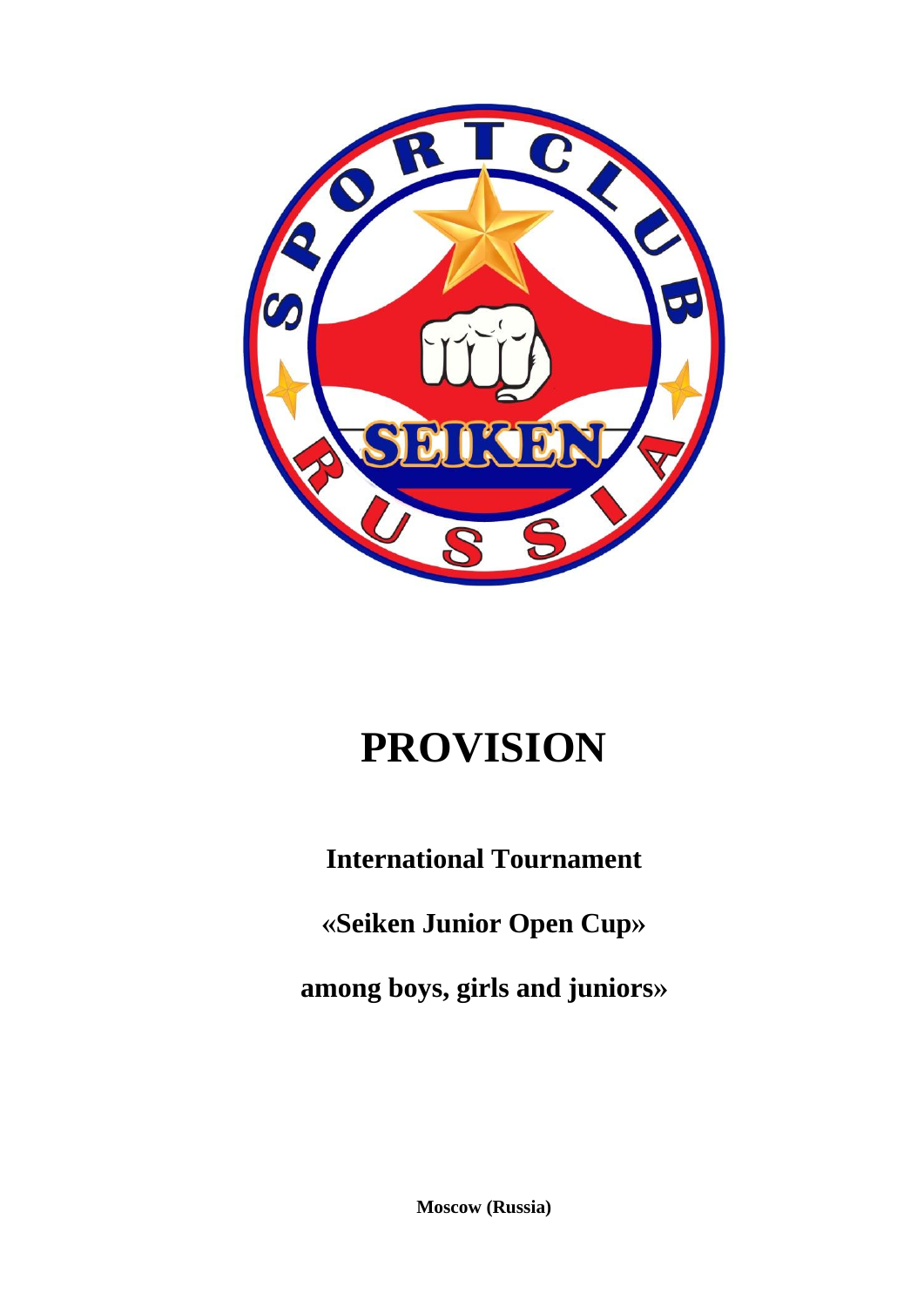

# **PROVISION**

**International Tournament**

**«Seiken Junior Open Cup»**

**among boys, girls and juniors»**

**Moscow (Russia)**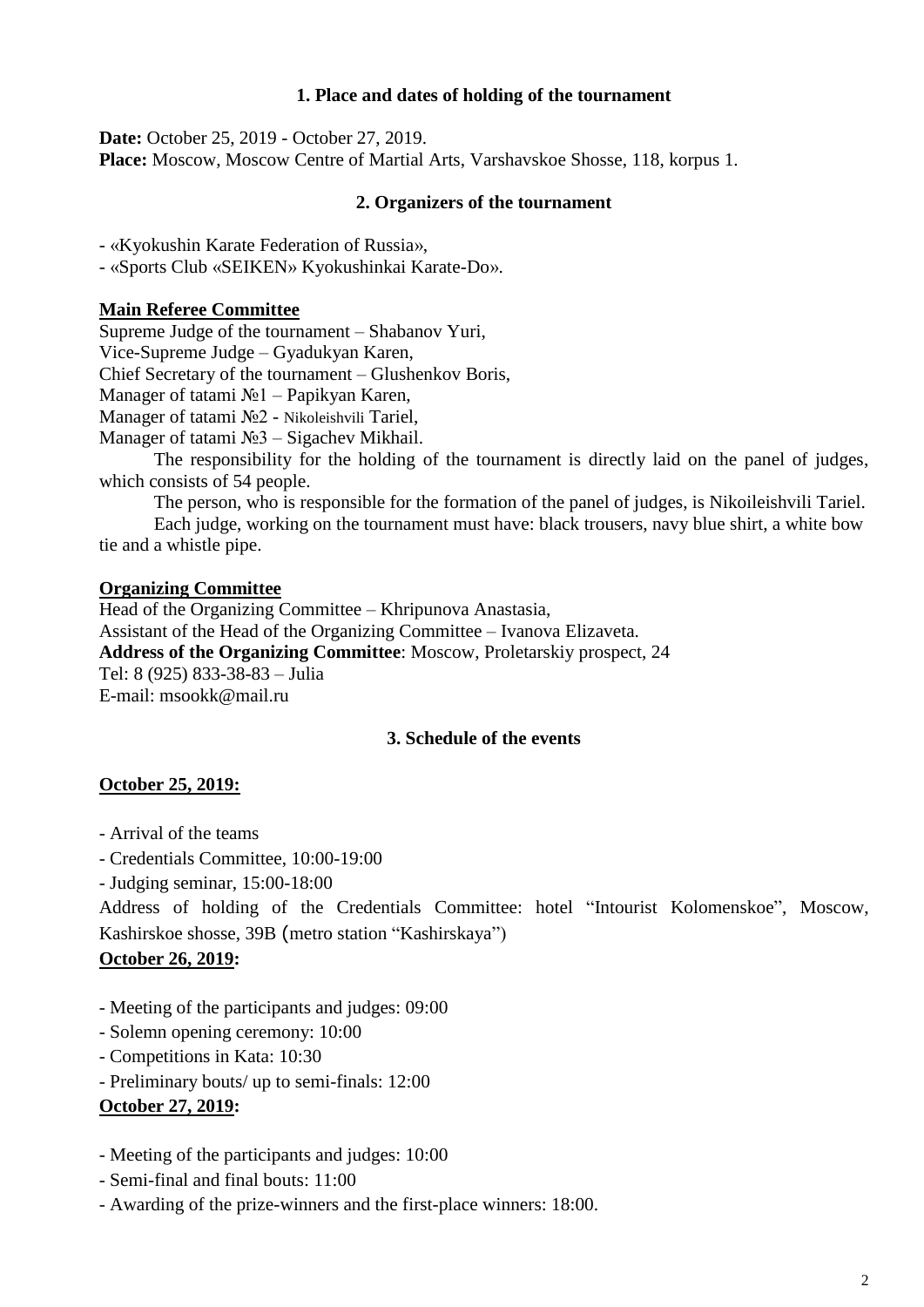#### **1. Place and dates of holding of the tournament**

**Date:** October 25, 2019 - October 27, 2019. **Place:** Moscow, Moscow Centre of Martial Arts, Varshavskoe Shosse, 118, korpus 1.

#### **2. Organizers of the tournament**

- «Kyokushin Karate Federation of Russia»,

- «Sports Club «SEIKEN» Kyokushinkai Karate-Do».

#### **Main Referee Committee**

Supreme Judge of the tournament – Shabanov Yuri, Vice-Supreme Judge – Gyadukyan Karen, Chief Secretary of the tournament – Glushenkov Boris, Manager of tatami №1 – Papikyan Karen, Manager of tatami №2 - Nikoleishvili Tariel, Manager of tatami №3 – Sigachev Mikhail. The responsibility for the holding of the tournament is directly laid on the panel of judges, which consists of 54 people. The person, who is responsible for the formation of the panel of judges, is Nikoileishvili Tariel.

Each judge, working on the tournament must have: black trousers, navy blue shirt, a white bow

tie and a whistle pipe.

#### **Organizing Committee**

Head of the Organizing Committee – Khripunova Anastasia, Assistant of the Head of the Organizing Committee – Ivanova Elizaveta. **Address of the Organizing Committee**: Moscow, Proletarskiy prospect, 24 Tel: 8 (925) 833-38-83 – Julia E-mail: msookk@mail.ru

## **3. Schedule of the events**

## **October 25, 2019:**

- Arrival of the teams
- Credentials Committee, 10:00-19:00
- Judging seminar, 15:00-18:00

Address of holding of the Credentials Committee: hotel "Intourist Kolomenskoe", Moscow, Kashirskoe shosse, 39B (metro station "Kashirskaya")

## **October 26, 2019:**

- Meeting of the participants and judges: 09:00
- Solemn opening ceremony: 10:00
- Competitions in Kata: 10:30
- Preliminary bouts/ up to semi-finals: 12:00

## **October 27, 2019:**

- Meeting of the participants and judges: 10:00
- Semi-final and final bouts: 11:00
- Awarding of the prize-winners and the first-place winners: 18:00.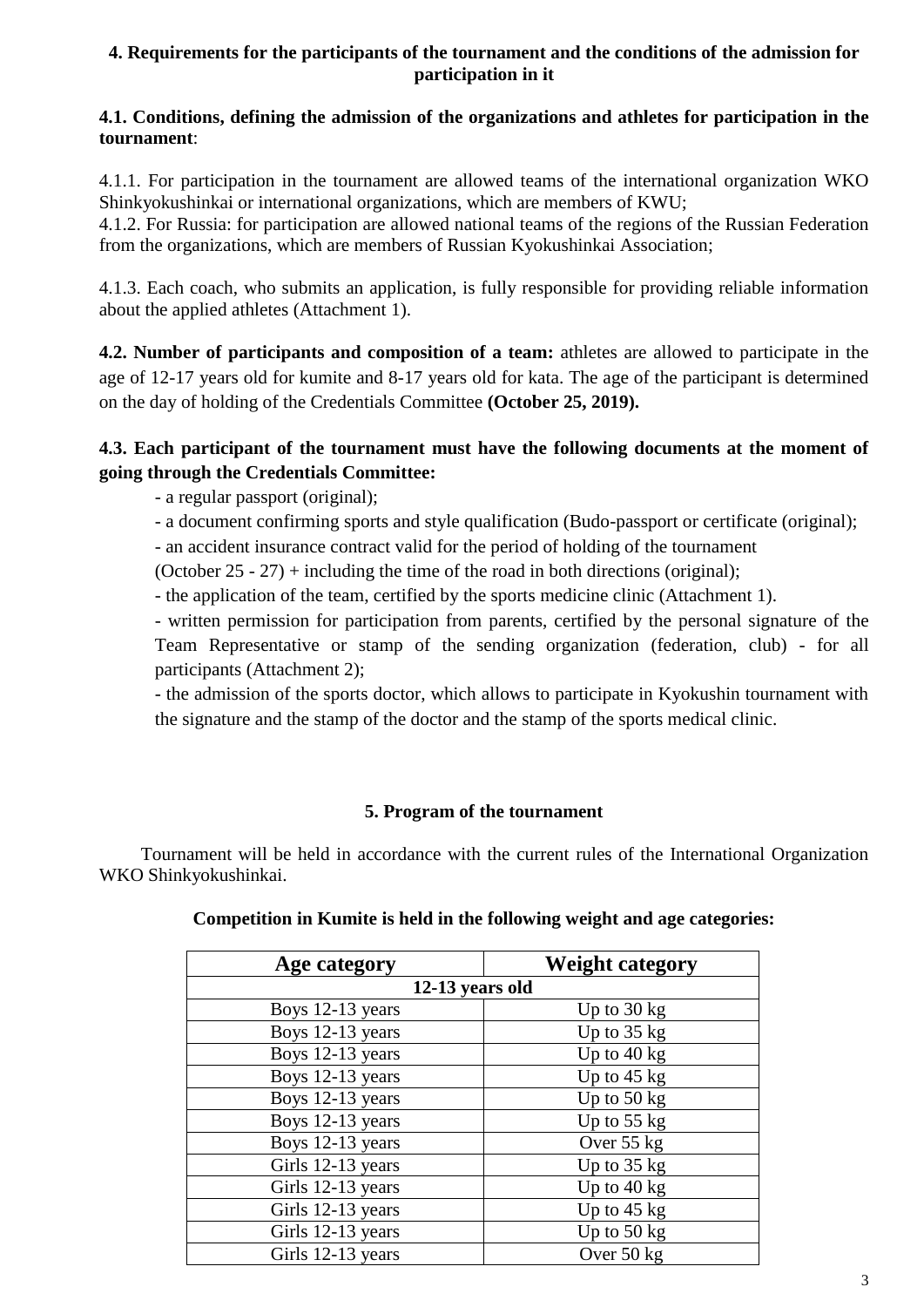## **4. Requirements for the participants of the tournament and the conditions of the admission for participation in it**

## **4.1. Conditions, defining the admission of the organizations and athletes for participation in the tournament**:

4.1.1. For participation in the tournament are allowed teams of the international organization WKO Shinkyokushinkai or international organizations, which are members of KWU;

4.1.2. For Russia: for participation are allowed national teams of the regions of the Russian Federation from the organizations, which are members of Russian Kyokushinkai Association;

4.1.3. Each coach, who submits an application, is fully responsible for providing reliable information about the applied athletes (Attachment 1).

**4.2. Number of participants and composition of a team:** athletes are allowed to participate in the age of 12-17 years old for kumite and 8-17 years old for kata. The age of the participant is determined on the day of holding of the Credentials Committee **(October 25, 2019).**

## **4.3. Each participant of the tournament must have the following documents at the moment of going through the Credentials Committee:**

- a regular passport (original);

- a document confirming sports and style qualification (Budo-passport or certificate (original);

- an accident insurance contract valid for the period of holding of the tournament

(October  $25 - 27$ ) + including the time of the road in both directions (original);

- the application of the team, certified by the sports medicine clinic (Attachment 1).

- written permission for participation from parents, certified by the personal signature of the Team Representative or stamp of the sending organization (federation, club) - for all participants (Attachment 2);

- the admission of the sports doctor, which allows to participate in Kyokushin tournament with the signature and the stamp of the doctor and the stamp of the sports medical clinic.

## **5. Program of the tournament**

Tournament will be held in accordance with the current rules of the International Organization WKO Shinkyokushinkai.

| Age category      | <b>Weight category</b> |  |  |  |  |
|-------------------|------------------------|--|--|--|--|
| 12-13 years old   |                        |  |  |  |  |
| Boys 12-13 years  | Up to $30 \text{ kg}$  |  |  |  |  |
| Boys 12-13 years  | Up to $35$ kg          |  |  |  |  |
| Boys 12-13 years  | Up to $40$ kg          |  |  |  |  |
| Boys 12-13 years  | Up to $45$ kg          |  |  |  |  |
| Boys 12-13 years  | Up to $50$ kg          |  |  |  |  |
| Boys 12-13 years  | Up to $55$ kg          |  |  |  |  |
| Boys 12-13 years  | Over 55 kg             |  |  |  |  |
| Girls 12-13 years | Up to $35$ kg          |  |  |  |  |
| Girls 12-13 years | Up to $40$ kg          |  |  |  |  |
| Girls 12-13 years | Up to $45$ kg          |  |  |  |  |
| Girls 12-13 years | Up to $50$ kg          |  |  |  |  |
| Girls 12-13 years | Over 50 kg             |  |  |  |  |

**Competition in Kumite is held in the following weight and age categories:**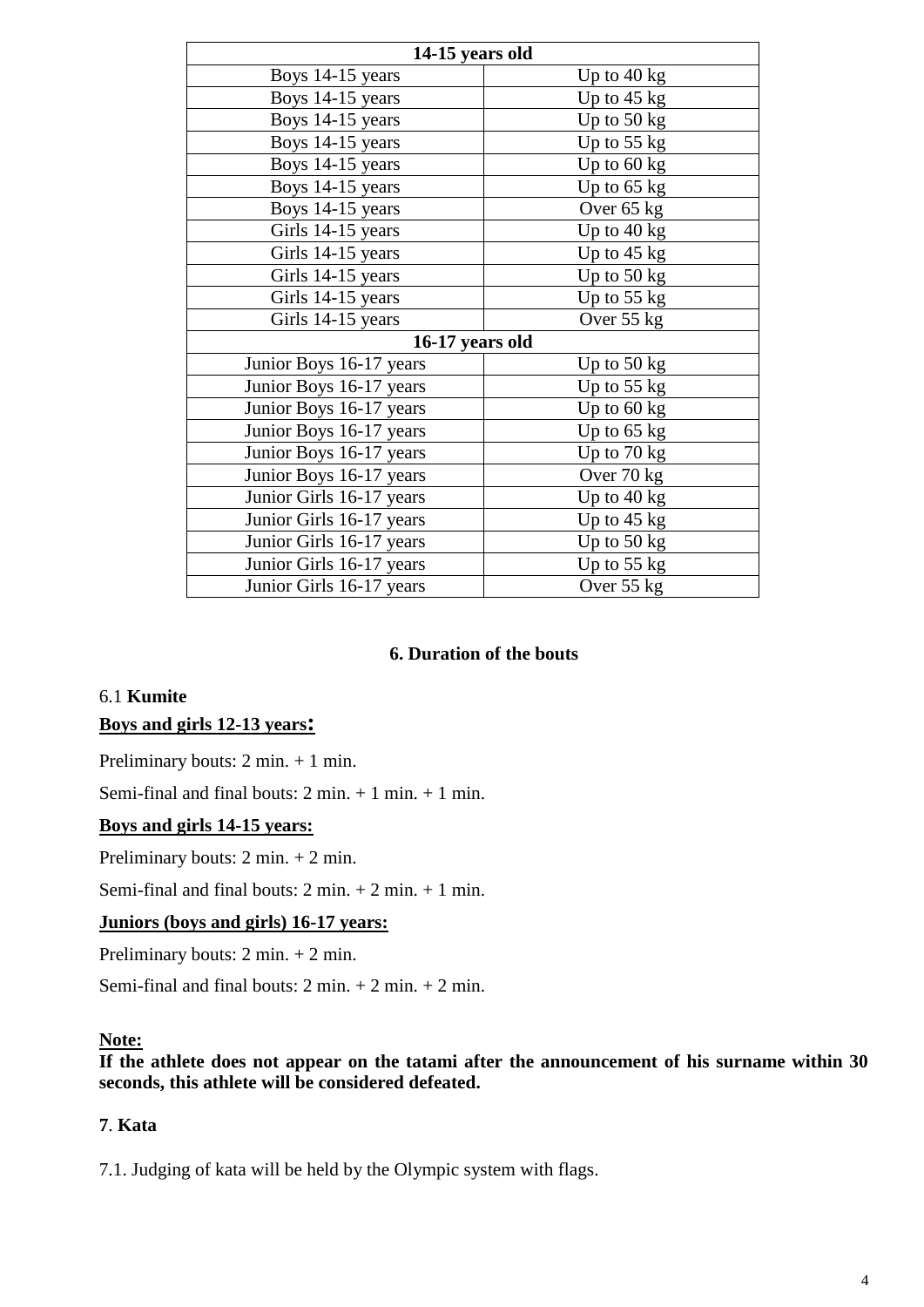| 14-15 years old          |                       |  |  |  |
|--------------------------|-----------------------|--|--|--|
| Boys 14-15 years         | Up to $40 \text{ kg}$ |  |  |  |
| Boys 14-15 years         | Up to $45$ kg         |  |  |  |
| Boys 14-15 years         | Up to $50 \text{ kg}$ |  |  |  |
| Boys 14-15 years         | Up to $55$ kg         |  |  |  |
| Boys 14-15 years         | Up to $60 \text{ kg}$ |  |  |  |
| Boys 14-15 years         | Up to $65$ kg         |  |  |  |
| Boys 14-15 years         | Over 65 kg            |  |  |  |
| Girls 14-15 years        | Up to $40 \text{ kg}$ |  |  |  |
| Girls 14-15 years        | Up to $45 \text{ kg}$ |  |  |  |
| Girls 14-15 years        | Up to $50$ kg         |  |  |  |
| Girls 14-15 years        | Up to $55$ kg         |  |  |  |
| Girls 14-15 years        | Over 55 kg            |  |  |  |
| 16-17 years old          |                       |  |  |  |
| Junior Boys 16-17 years  | Up to $50 \text{ kg}$ |  |  |  |
| Junior Boys 16-17 years  | Up to $55$ kg         |  |  |  |
| Junior Boys 16-17 years  | Up to $60 \text{ kg}$ |  |  |  |
| Junior Boys 16-17 years  | Up to $65$ kg         |  |  |  |
| Junior Boys 16-17 years  | Up to $70 \text{ kg}$ |  |  |  |
| Junior Boys 16-17 years  | Over 70 kg            |  |  |  |
| Junior Girls 16-17 years | Up to $40 \text{ kg}$ |  |  |  |
| Junior Girls 16-17 years | Up to $45 \text{ kg}$ |  |  |  |
| Junior Girls 16-17 years | Up to $50 \text{ kg}$ |  |  |  |
| Junior Girls 16-17 years | Up to $55$ kg         |  |  |  |
| Junior Girls 16-17 years | Over $55$ kg          |  |  |  |

#### **6. Duration of the bouts**

# 6.1 **Kumite Boys and girls 12-13 years:**

Preliminary bouts: 2 min. + 1 min.

Semi-final and final bouts:  $2 \text{ min.} + 1 \text{ min.} + 1 \text{ min.}$ 

## **Boys and girls 14-15 years:**

Preliminary bouts: 2 min. + 2 min.

Semi-final and final bouts:  $2 \text{ min.} + 2 \text{ min.} + 1 \text{ min.}$ 

#### **Juniors (boys and girls) 16-17 years:**

Preliminary bouts: 2 min. + 2 min.

Semi-final and final bouts:  $2 \text{ min.} + 2 \text{ min.} + 2 \text{ min.}$ 

#### **Note:**

**If the athlete does not appear on the tatami after the announcement of his surname within 30 seconds, this athlete will be considered defeated.**

## **7**. **Kata**

7.1. Judging of kata will be held by the Olympic system with flags.